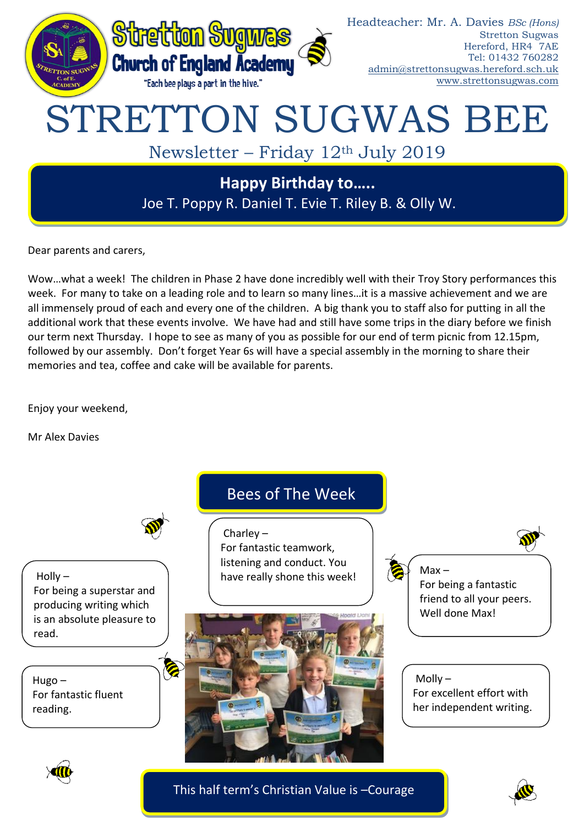

Dear parents and carers,

Wow…what a week! The children in Phase 2 have done incredibly well with their Troy Story performances this week. For many to take on a leading role and to learn so many lines…it is a massive achievement and we are all immensely proud of each and every one of the children. A big thank you to staff also for putting in all the additional work that these events involve. We have had and still have some trips in the diary before we finish our term next Thursday. I hope to see as many of you as possible for our end of term picnic from 12.15pm, followed by our assembly. Don't forget Year 6s will have a special assembly in the morning to share their memories and tea, coffee and cake will be available for parents.

Enjoy your weekend,

Mr Alex Davies





This half term's Christian Value is –Courage